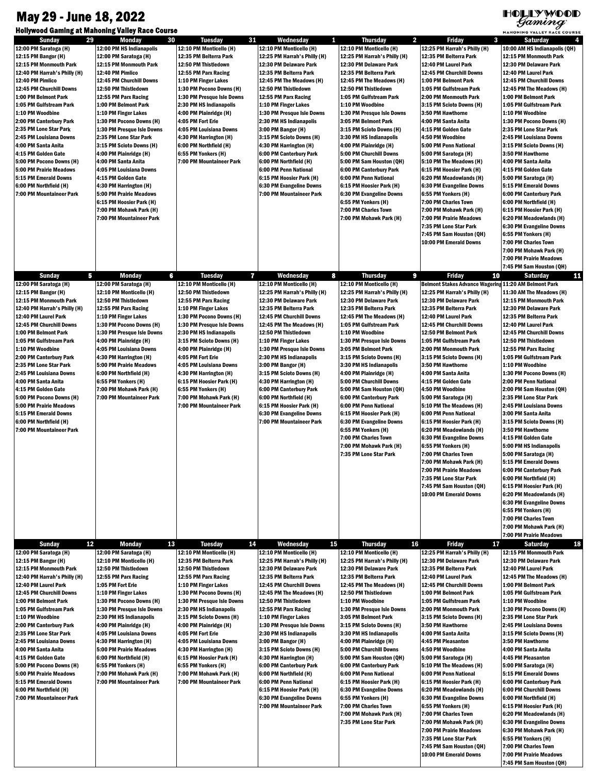## May 29 - June 18, 2022

## HOLLYWOOD

| $\sigma$ <sup><i>a</i></sup> <i>a</i><br><b>Hollywood Gaming at Mahoning Valley Race Course</b><br>MAHONING VALLEY RACE COURSE |                                                     |                                                   |                                                         |                                                        |                                                              |                                                      |  |  |  |
|--------------------------------------------------------------------------------------------------------------------------------|-----------------------------------------------------|---------------------------------------------------|---------------------------------------------------------|--------------------------------------------------------|--------------------------------------------------------------|------------------------------------------------------|--|--|--|
| <b>Sunday</b><br>29                                                                                                            | 30<br><b>Monday</b>                                 | 31<br><b>Tuesday</b>                              | Wednesday<br>1                                          | $\overline{\mathbf{2}}$<br><b>Thursday</b>             | 3<br><b>Friday</b>                                           | <b>Saturday</b><br>4                                 |  |  |  |
| 12:00 PM Saratoga (H)                                                                                                          | 12:00 PM HS Indianapolis                            | 12:10 PM Monticello (H)                           | 12:10 PM Monticello (H)                                 | 12:10 PM Monticello (H)                                | 12:25 PM Harrah's Philly (H)                                 | 10:00 AM HS Indianapolis (QH)                        |  |  |  |
| 12:15 PM Bangor (H)                                                                                                            | 12:00 PM Saratoga (H)                               | 12:35 PM Belterra Park                            | 12:25 PM Harrah's Philly (H)                            | 12:25 PM Harrah's Philly (H)                           | 12:35 PM Belterra Park                                       | 12:15 PM Monmouth Park                               |  |  |  |
| 12:15 PM Monmouth Park                                                                                                         | 12:15 PM Monmouth Park                              | 12:50 PM Thistledown                              | 12:30 PM Delaware Park                                  | 12:30 PM Delaware Park                                 | 12:40 PM Laurel Park                                         | 12:30 PM Delaware Park                               |  |  |  |
| 12:40 PM Harrah's Philly (H)<br>12:40 PM Pimlico                                                                               | 12:40 PM Pimlico                                    | 12:55 PM Parx Racing                              | 12:35 PM Belterra Park                                  | 12:35 PM Belterra Park                                 | 12:45 PM Churchill Downs<br>1:00 PM Belmont Park             | 12:40 PM Laurel Park                                 |  |  |  |
| 12:45 PM Churchill Downs                                                                                                       | 12:45 PM Churchill Downs<br>12:50 PM Thistledown    | 1:10 PM Finger Lakes<br>1:30 PM Pocono Downs (H)  | 12:45 PM The Meadows (H)<br>12:50 PM Thistledown        | 12:45 PM The Meadows (H)<br>12:50 PM Thistledown       | 1:05 PM Gulfstream Park                                      | 12:45 PM Churchill Downs<br>12:45 PM The Meadows (H) |  |  |  |
| 1:00 PM Belmont Park                                                                                                           | 12:55 PM Parx Racing                                | 1:30 PM Presque Isle Downs                        | 12:55 PM Parx Racing                                    | 1:05 PM Gulfstream Park                                | 2:00 PM Monmouth Park                                        | 1:00 PM Belmont Park                                 |  |  |  |
| 1:05 PM Gulfstream Park                                                                                                        | 1:00 PM Belmont Park                                | 2:30 PM HS Indianapolis                           | 1:10 PM Finger Lakes                                    | 1:10 PM Woodbine                                       | 3:15 PM Scioto Downs (H)                                     | 1:05 PM Gulfstream Park                              |  |  |  |
| 1:10 PM Woodbine                                                                                                               | 1:10 PM Finger Lakes                                | 4:00 PM Plainridge (H)                            | 1:30 PM Presque Isle Downs                              | 1:30 PM Presque Isle Downs                             | 3:50 PM Hawthorne                                            | 1:10 PM Woodbine                                     |  |  |  |
| 2:00 PM Canterbury Park                                                                                                        | 1:30 PM Pocono Downs (H)                            | 4:05 PM Fort Erie                                 | 2:30 PM HS Indianapolis                                 | 3:05 PM Belmont Park                                   | 4:00 PM Santa Anita                                          | 1:30 PM Pocono Downs (H)                             |  |  |  |
| 2:35 PM Lone Star Park                                                                                                         | 1:30 PM Presque Isle Downs                          | 4:05 PM Louisiana Downs                           | 3:00 PM Bangor (H)                                      | 3:15 PM Scioto Downs (H)                               | 4:15 PM Golden Gate                                          | 2:35 PM Lone Star Park                               |  |  |  |
| 2:45 PM Louisiana Downs                                                                                                        | 2:35 PM Lone Star Park                              | 4:30 PM Harrington (H)                            | 3:15 PM Scioto Downs (H)                                | 3:30 PM HS Indianapolis                                | 4:50 PM Woodbine                                             | 2:45 PM Louisiana Downs                              |  |  |  |
| 4:00 PM Santa Anita                                                                                                            | 3:15 PM Scioto Downs (H)                            | 6:00 PM Northfield (H)                            | 4:30 PM Harrington (H)                                  | 4:00 PM Plainridge (H)                                 | 5:00 PM Penn National                                        | 3:15 PM Scioto Downs (H)                             |  |  |  |
| 4:15 PM Golden Gate                                                                                                            | 4:00 PM Plainridge (H)                              | 6:55 PM Yonkers (H)                               | 6:00 PM Canterbury Park                                 | 5:00 PM Churchill Downs                                | 5:00 PM Saratoga (H)                                         | 3:50 PM Hawthorne                                    |  |  |  |
| 5:00 PM Pocono Downs (H)                                                                                                       | 4:00 PM Santa Anita                                 | 7:00 PM Mountaineer Park                          | 6:00 PM Northfield (H)                                  | 5:00 PM Sam Houston (QH)                               | 5:10 PM The Meadows (H)                                      | 4:00 PM Santa Anita                                  |  |  |  |
| 5:00 PM Prairie Meadows                                                                                                        | 4:05 PM Louisiana Downs                             |                                                   | 6:00 PM Penn National                                   | 6:00 PM Canterbury Park                                | 6:15 PM Hoosier Park (H)                                     | 4:15 PM Golden Gate                                  |  |  |  |
| 5:15 PM Emerald Downs                                                                                                          | 4:15 PM Golden Gate                                 |                                                   | 6:15 PM Hoosier Park (H)                                | 6:00 PM Penn National                                  | 6:20 PM Meadowlands (H)                                      | 5:00 PM Saratoga (H)                                 |  |  |  |
| 6:00 PM Northfield (H)                                                                                                         | 4:30 PM Harrington (H)                              |                                                   | <b>6:30 PM Evangeline Downs</b>                         | 6:15 PM Hoosier Park (H)                               | 6:30 PM Evangeline Downs                                     | 5:15 PM Emerald Downs                                |  |  |  |
| 7:00 PM Mountaineer Park                                                                                                       | 5:00 PM Prairie Meadows                             |                                                   | 7:00 PM Mountaineer Park                                | <b>6:30 PM Evangeline Downs</b><br>6:55 PM Yonkers (H) | 6:55 PM Yonkers (H)<br>7:00 PM Charles Town                  | 6:00 PM Canterbury Park                              |  |  |  |
|                                                                                                                                | 6:15 PM Hoosier Park (H)<br>7:00 PM Mohawk Park (H) |                                                   |                                                         | 7:00 PM Charles Town                                   | 7:00 PM Mohawk Park (H)                                      | 6:00 PM Northfield (H)<br>6:15 PM Hoosier Park (H)   |  |  |  |
|                                                                                                                                | 7:00 PM Mountaineer Park                            |                                                   |                                                         | 7:00 PM Mohawk Park (H)                                | <b>7:00 PM Prairie Meadows</b>                               | 6:20 PM Meadowlands (H)                              |  |  |  |
|                                                                                                                                |                                                     |                                                   |                                                         |                                                        | 7:35 PM Lone Star Park                                       | <b>6:30 PM Evangeline Downs</b>                      |  |  |  |
|                                                                                                                                |                                                     |                                                   |                                                         |                                                        | 7:45 PM Sam Houston (QH)                                     | 6:55 PM Yonkers (H)                                  |  |  |  |
|                                                                                                                                |                                                     |                                                   |                                                         |                                                        | 10:00 PM Emerald Downs                                       | 7:00 PM Charles Town                                 |  |  |  |
|                                                                                                                                |                                                     |                                                   |                                                         |                                                        |                                                              | 7:00 PM Mohawk Park (H)                              |  |  |  |
|                                                                                                                                |                                                     |                                                   |                                                         |                                                        |                                                              | 7:00 PM Prairie Meadows                              |  |  |  |
|                                                                                                                                |                                                     |                                                   |                                                         |                                                        |                                                              | 7:45 PM Sam Houston (QH)                             |  |  |  |
| 5<br><b>Sunday</b>                                                                                                             | <b>Monday</b><br>6                                  | 77<br><b>Tuesday</b>                              | 8<br>Wednesday                                          | 9<br><b>Thursday</b>                                   | <b>Friday</b><br>10                                          | 11<br><b>Saturday</b>                                |  |  |  |
| 12:00 PM Saratoga (H)                                                                                                          | 12:00 PM Saratoga (H)                               | 12:10 PM Monticello (H)                           | 12:10 PM Monticello (H)                                 | 12:10 PM Monticello (H)                                | <b>Belmont Stakes Advance Wagering 11:20 AM Belmont Park</b> |                                                      |  |  |  |
| 12:15 PM Bangor (H)                                                                                                            | 12:10 PM Monticello (H)                             | 12:50 PM Thistledown                              | 12:25 PM Harrah's Philly (H)                            | 12:25 PM Harrah's Philly (H)                           | 12:25 PM Harrah's Philly (H)                                 | 11:30 AM The Meadows (H)                             |  |  |  |
| 12:15 PM Monmouth Park                                                                                                         | 12:50 PM Thistledown                                | 12:55 PM Parx Racing                              | 12:30 PM Delaware Park                                  | 12:30 PM Delaware Park                                 | 12:30 PM Delaware Park                                       | 12:15 PM Monmouth Park                               |  |  |  |
| 12:40 PM Harrah's Philly (H)                                                                                                   | 12:55 PM Parx Racing                                | 1:10 PM Finger Lakes                              | 12:35 PM Belterra Park                                  | 12:35 PM Belterra Park                                 | 12:35 PM Belterra Park                                       | 12:30 PM Delaware Park                               |  |  |  |
| 12:40 PM Laurel Park                                                                                                           | 1:10 PM Finger Lakes                                | 1:30 PM Pocono Downs (H)                          | 12:45 PM Churchill Downs                                | 12:45 PM The Meadows (H)                               | 12:40 PM Laurel Park                                         | 12:35 PM Belterra Park                               |  |  |  |
| 12:45 PM Churchill Downs                                                                                                       | 1:30 PM Pocono Downs (H)                            | 1:30 PM Presque Isle Downs                        | 12:45 PM The Meadows (H)                                | 1:05 PM Gulfstream Park                                | 12:45 PM Churchill Downs                                     | 12:40 PM Laurel Park                                 |  |  |  |
| 1:00 PM Belmont Park                                                                                                           | 1:30 PM Presque Isle Downs                          | 2:30 PM HS Indianapolis                           | 12:50 PM Thistledown                                    | 1:10 PM Woodbine                                       | 12:50 PM Belmont Park                                        | 12:45 PM Churchill Downs                             |  |  |  |
| 1:05 PM Gulfstream Park                                                                                                        | 4:00 PM Plainridge (H)                              | 3:15 PM Scioto Downs (H)                          | 1:10 PM Finger Lakes                                    | 1:30 PM Presque Isle Downs                             | 1:05 PM Gulfstream Park                                      | 12:50 PM Thistledown                                 |  |  |  |
| 1:10 PM Woodbine                                                                                                               | 4:05 PM Louisiana Downs                             | 4:00 PM Plainridge (H)                            | 1:30 PM Presque Isle Downs                              | 3:05 PM Belmont Park                                   | 2:00 PM Monmouth Park                                        | 12:55 PM Parx Racing                                 |  |  |  |
| 2:00 PM Canterbury Park                                                                                                        | 4:30 PM Harrington (H)                              | 4:05 PM Fort Erie                                 | 2:30 PM HS Indianapolis                                 | 3:15 PM Scioto Downs (H)                               | 3:15 PM Scioto Downs (H)                                     | 1:05 PM Gulfstream Park                              |  |  |  |
| 2:35 PM Lone Star Park                                                                                                         | 5:00 PM Prairie Meadows                             | 4:05 PM Louisiana Downs                           | 3:00 PM Bangor (H)                                      | 3:30 PM HS Indianapolis                                | 3:50 PM Hawthorne                                            | 1:10 PM Woodbine                                     |  |  |  |
| 2:45 PM Louisiana Downs                                                                                                        | 6:00 PM Northfield (H)                              | 4:30 PM Harrington (H)                            | 3:15 PM Scioto Downs (H)                                | 4:00 PM Plainridge (H)                                 | 4:00 PM Santa Anita                                          | 1:30 PM Pocono Downs (H)                             |  |  |  |
| 4:00 PM Santa Anita                                                                                                            | 6:55 PM Yonkers (H)                                 | 6:15 PM Hoosier Park (H)                          | 4:30 PM Harrington (H)                                  | 5:00 PM Churchill Downs                                | 4:15 PM Golden Gate                                          | 2:00 PM Penn National                                |  |  |  |
| 4:15 PM Golden Gate<br>5:00 PM Pocono Downs (H)                                                                                | 7:00 PM Mohawk Park (H)<br>7:00 PM Mountaineer Park | 6:55 PM Yonkers (H)<br>7:00 PM Mohawk Park (H)    | 6:00 PM Canterbury Park<br>6:00 PM Northfield (H)       | 5:00 PM Sam Houston (QH)<br>6:00 PM Canterbury Park    | 4:50 PM Woodbine<br>5:00 PM Saratoga (H)                     | 2:00 PM Sam Houston (QH)<br>2:35 PM Lone Star Park   |  |  |  |
| 5:00 PM Prairie Meadows                                                                                                        |                                                     | 7:00 PM Mountaineer Park                          | 6:15 PM Hoosier Park (H)                                | 6:00 PM Penn National                                  | 5:10 PM The Meadows (H)                                      | 2:45 PM Louisiana Downs                              |  |  |  |
| 5:15 PM Emerald Downs                                                                                                          |                                                     |                                                   | <b>6:30 PM Evangeline Downs</b>                         | 6:15 PM Hoosier Park (H)                               | 6:00 PM Penn National                                        | 3:00 PM Santa Anita                                  |  |  |  |
| 6:00 PM Northfield (H)                                                                                                         |                                                     |                                                   | 7:00 PM Mountaineer Park                                | <b>6:30 PM Evangeline Downs</b>                        | 6:15 PM Hoosier Park (H)                                     | 3:15 PM Scioto Downs (H)                             |  |  |  |
| 7:00 PM Mountaineer Park                                                                                                       |                                                     |                                                   |                                                         | 6:55 PM Yonkers (H)                                    | 6:20 PM Meadowlands (H)                                      | 3:50 PM Hawthorne                                    |  |  |  |
|                                                                                                                                |                                                     |                                                   |                                                         | <b>7:00 PM Charles Town</b>                            | 6:30 PM Evangeline Downs                                     | 4:15 PM Golden Gate                                  |  |  |  |
|                                                                                                                                |                                                     |                                                   |                                                         | 7:00 PM Mohawk Park (H)                                | 6:55 PM Yonkers (H)                                          | 5:00 PM HS Indianapolis                              |  |  |  |
|                                                                                                                                |                                                     |                                                   |                                                         | 7:35 PM Lone Star Park                                 | 7:00 PM Charles Town                                         | 5:00 PM Saratoga (H)                                 |  |  |  |
|                                                                                                                                |                                                     |                                                   |                                                         |                                                        | 7:00 PM Mohawk Park (H)                                      | 5:15 PM Emerald Downs                                |  |  |  |
|                                                                                                                                |                                                     |                                                   |                                                         |                                                        | 7:00 PM Prairie Meadows                                      | 6:00 PM Canterbury Park                              |  |  |  |
|                                                                                                                                |                                                     |                                                   |                                                         |                                                        | 7:35 PM Lone Star Park                                       | 6:00 PM Northfield (H)                               |  |  |  |
|                                                                                                                                |                                                     |                                                   |                                                         |                                                        | 7:45 PM Sam Houston (QH)                                     | 6:15 PM Hoosier Park (H)                             |  |  |  |
|                                                                                                                                |                                                     |                                                   |                                                         |                                                        | 10:00 PM Emerald Downs                                       | 6:20 PM Meadowlands (H)                              |  |  |  |
|                                                                                                                                |                                                     |                                                   |                                                         |                                                        |                                                              | 6:30 PM Evangeline Downs                             |  |  |  |
|                                                                                                                                |                                                     |                                                   |                                                         |                                                        |                                                              | 6:55 PM Yonkers (H)                                  |  |  |  |
|                                                                                                                                |                                                     |                                                   |                                                         |                                                        |                                                              | 7:00 PM Charles Town                                 |  |  |  |
|                                                                                                                                |                                                     |                                                   |                                                         |                                                        |                                                              | 7:00 PM Mohawk Park (H)                              |  |  |  |
|                                                                                                                                |                                                     |                                                   |                                                         |                                                        |                                                              | 7:00 PM Prairie Meadows                              |  |  |  |
| 12<br><b>Sunday</b><br>12:00 PM Saratoga (H)                                                                                   | <b>Monday</b><br>13                                 | <b>Tuesday</b><br>14                              | Wednesday<br>15                                         | 16<br><b>Thursday</b><br>12:10 PM Monticello (H)       | Friday<br>17<br>12:25 PM Harrah's Philly (H)                 | 18<br><b>Saturday</b>                                |  |  |  |
| 12:15 PM Bangor (H)                                                                                                            | 12:00 PM Saratoga (H)<br>12:10 PM Monticello (H)    | 12:10 PM Monticello (H)<br>12:35 PM Belterra Park | 12:10 PM Monticello (H)<br>12:25 PM Harrah's Philly (H) | 12:25 PM Harrah's Philly (H)                           | 12:30 PM Delaware Park                                       | 12:15 PM Monmouth Park<br>12:30 PM Delaware Park     |  |  |  |
| 12:15 PM Monmouth Park                                                                                                         | 12:50 PM Thistledown                                | 12:50 PM Thistledown                              | 12:30 PM Delaware Park                                  | 12:30 PM Delaware Park                                 | 12:35 PM Belterra Park                                       | 12:40 PM Laurel Park                                 |  |  |  |
| 12:40 PM Harrah's Philly (H)                                                                                                   | 12:55 PM Parx Racing                                | 12:55 PM Parx Racing                              | 12:35 PM Belterra Park                                  | 12:35 PM Belterra Park                                 | 12:40 PM Laurel Park                                         | 12:45 PM The Meadows (H)                             |  |  |  |
| 12:40 PM Laurel Park                                                                                                           | 1:05 PM Fort Erie                                   | 1:10 PM Finger Lakes                              | 12:45 PM Churchill Downs                                | 12:45 PM The Meadows (H)                               | 12:45 PM Churchill Downs                                     | 1:00 PM Belmont Park                                 |  |  |  |
| 12:45 PM Churchill Downs                                                                                                       | 1:10 PM Finger Lakes                                | 1:30 PM Pocono Downs (H)                          | 12:45 PM The Meadows (H)                                | 12:50 PM Thistledown                                   | 1:00 PM Belmont Park                                         | 1:05 PM Gulfstream Park                              |  |  |  |
| 1:00 PM Belmont Park                                                                                                           | 1:30 PM Pocono Downs (H)                            | 1:30 PM Presque Isle Downs                        | 12:50 PM Thistledown                                    | 1:10 PM Woodbine                                       | 1:05 PM Gulfstream Park                                      | 1:10 PM Woodbine                                     |  |  |  |
| 1:05 PM Gulfstream Park                                                                                                        | 1:30 PM Presque Isle Downs                          | 2:30 PM HS Indianapolis                           | 12:55 PM Parx Racing                                    | 1:30 PM Presque Isle Downs                             | 2:00 PM Monmouth Park                                        | 1:30 PM Pocono Downs (H)                             |  |  |  |
| 1:10 PM Woodbine                                                                                                               | 2:30 PM HS Indianapolis                             | 3:15 PM Scioto Downs (H)                          | 1:10 PM Finger Lakes                                    | 3:05 PM Belmont Park                                   | 3:15 PM Scioto Downs (H)                                     | 2:35 PM Lone Star Park                               |  |  |  |
| 2:00 PM Canterbury Park                                                                                                        | 4:00 PM Plainridge (H)                              | 4:00 PM Plainridge (H)                            | 1:30 PM Presque Isle Downs                              | 3:15 PM Scioto Downs (H)                               | 3:50 PM Hawthorne                                            | 2:45 PM Louisiana Downs                              |  |  |  |
| 2:35 PM Lone Star Park                                                                                                         | 4:05 PM Louisiana Downs                             | 4:05 PM Fort Erie                                 | 2:30 PM HS Indianapolis                                 | 3:30 PM HS Indianapolis                                | 4:00 PM Santa Anita                                          | 3:15 PM Scioto Downs (H)                             |  |  |  |
| 2:45 PM Louisiana Downs                                                                                                        | 4:30 PM Harrington (H)                              | 4:05 PM Louisiana Downs                           | 3:00 PM Bangor (H)                                      | 4:00 PM Plainridge (H)                                 | 4:45 PM Pleasanton                                           | 3:50 PM Hawthorne                                    |  |  |  |
| 4:00 PM Santa Anita                                                                                                            | 5:00 PM Prairie Meadows                             | 4:30 PM Harrington (H)                            | 3:15 PM Scioto Downs (H)                                | 5:00 PM Churchill Downs                                | 4:50 PM Woodbine                                             | 4:00 PM Santa Anita                                  |  |  |  |
| 4:15 PM Golden Gate                                                                                                            | 6:00 PM Northfield (H)                              | 6:15 PM Hoosier Park (H)                          | 4:30 PM Harrington (H)                                  | 5:00 PM Sam Houston (QH)                               | 5:00 PM Saratoga (H)                                         | 4:45 PM Pleasanton                                   |  |  |  |
| 5:00 PM Pocono Downs (H)                                                                                                       | 6:55 PM Yonkers (H)                                 | 6:55 PM Yonkers (H)                               | 6:00 PM Canterbury Park                                 | 6:00 PM Canterbury Park                                | 5:10 PM The Meadows (H)                                      | 5:00 PM Saratoga (H)                                 |  |  |  |
| 5:00 PM Prairie Meadows                                                                                                        | 7:00 PM Mohawk Park (H)                             | 7:00 PM Mohawk Park (H)                           | 6:00 PM Northfield (H)                                  | 6:00 PM Penn National                                  | 6:00 PM Penn National                                        | 5:15 PM Emerald Downs                                |  |  |  |
| 5:15 PM Emerald Downs                                                                                                          | 7:00 PM Mountaineer Park                            | 7:00 PM Mountaineer Park                          | 6:00 PM Penn National                                   | 6:15 PM Hoosier Park (H)                               | 6:15 PM Hoosier Park (H)                                     | 6:00 PM Canterbury Park                              |  |  |  |
| 6:00 PM Northfield (H)                                                                                                         |                                                     |                                                   | 6:15 PM Hoosier Park (H)                                | 6:30 PM Evangeline Downs                               | 6:20 PM Meadowlands (H)                                      | 6:00 PM Churchill Downs                              |  |  |  |
| 7:00 PM Mountaineer Park                                                                                                       |                                                     |                                                   | <b>6:30 PM Evangeline Downs</b>                         | 6:55 PM Yonkers (H)                                    | <b>6:30 PM Evangeline Downs</b>                              | 6:00 PM Northfield (H)                               |  |  |  |
|                                                                                                                                |                                                     |                                                   | 7:00 PM Mountaineer Park                                | 7:00 PM Charles Town                                   | 6:55 PM Yonkers (H)                                          | 6:15 PM Hoosier Park (H)                             |  |  |  |
|                                                                                                                                |                                                     |                                                   |                                                         | 7:00 PM Mohawk Park (H)                                | 7:00 PM Charles Town                                         | 6:20 PM Meadowlands (H)                              |  |  |  |
|                                                                                                                                |                                                     |                                                   |                                                         | 7:35 PM Lone Star Park                                 | 7:00 PM Mohawk Park (H)<br>7:00 PM Prairie Meadows           | 6:30 PM Evangeline Downs<br>6:30 PM Mohawk Park (H)  |  |  |  |
|                                                                                                                                |                                                     |                                                   |                                                         |                                                        | 7:35 PM Lone Star Park                                       | 6:55 PM Yonkers (H)                                  |  |  |  |
|                                                                                                                                |                                                     |                                                   |                                                         |                                                        | 7:45 PM Sam Houston (QH)                                     | 7:00 PM Charles Town                                 |  |  |  |
|                                                                                                                                |                                                     |                                                   |                                                         |                                                        | 10:00 PM Emerald Downs                                       | 7:00 PM Prairie Meadows                              |  |  |  |
|                                                                                                                                |                                                     |                                                   |                                                         |                                                        |                                                              | 7:45 PM Sam Houston (QH)                             |  |  |  |
|                                                                                                                                |                                                     |                                                   |                                                         |                                                        |                                                              |                                                      |  |  |  |